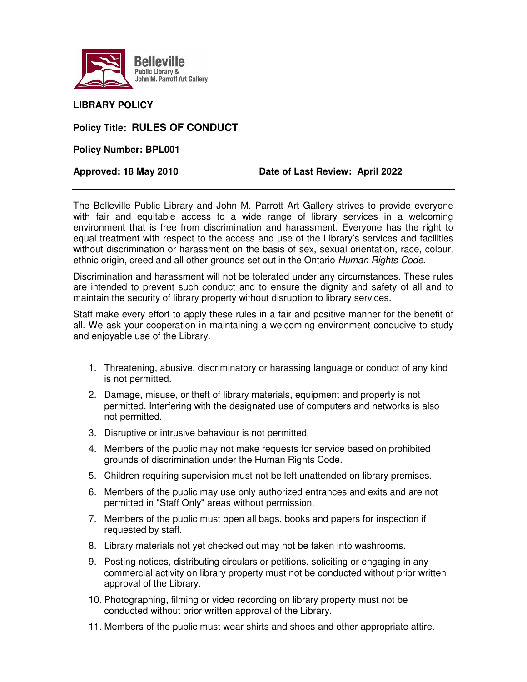

## **LIBRARY POLICY**

## **Policy Title: RULES OF CONDUCT**

**Policy Number: BPL001** 

## **Approved: 18 May 2010 Date of Last Review: April 2022**

The Belleville Public Library and John M. Parrott Art Gallery strives to provide everyone with fair and equitable access to a wide range of library services in a welcoming environment that is free from discrimination and harassment. Everyone has the right to equal treatment with respect to the access and use of the Library's services and facilities without discrimination or harassment on the basis of sex, sexual orientation, race, colour, ethnic origin, creed and all other grounds set out in the Ontario Human Rights Code.

Discrimination and harassment will not be tolerated under any circumstances. These rules are intended to prevent such conduct and to ensure the dignity and safety of all and to maintain the security of library property without disruption to library services.

Staff make every effort to apply these rules in a fair and positive manner for the benefit of all. We ask your cooperation in maintaining a welcoming environment conducive to study and enjoyable use of the Library.

- 1. Threatening, abusive, discriminatory or harassing language or conduct of any kind is not permitted.
- 2. Damage, misuse, or theft of library materials, equipment and property is not permitted. Interfering with the designated use of computers and networks is also not permitted.
- 3. Disruptive or intrusive behaviour is not permitted.
- 4. Members of the public may not make requests for service based on prohibited grounds of discrimination under the Human Rights Code.
- 5. Children requiring supervision must not be left unattended on library premises.
- 6. Members of the public may use only authorized entrances and exits and are not permitted in "Staff Only" areas without permission.
- 7. Members of the public must open all bags, books and papers for inspection if requested by staff.
- 8. Library materials not yet checked out may not be taken into washrooms.
- 9. Posting notices, distributing circulars or petitions, soliciting or engaging in any commercial activity on library property must not be conducted without prior written approval of the Library.
- 10. Photographing, filming or video recording on library property must not be conducted without prior written approval of the Library.
- 11. Members of the public must wear shirts and shoes and other appropriate attire.